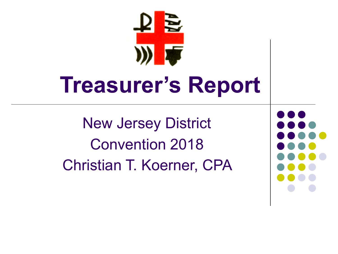# **Treasurer's Report**

New Jersey District Convention 2018 Christian T. Koerner, CPA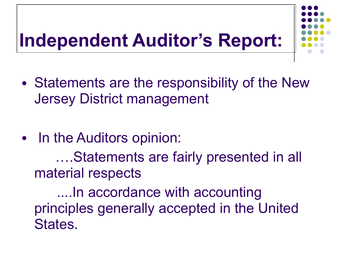# **Independent Auditor's Report:**



- Statements are the responsibility of the New Jersey District management
- In the Auditors opinion:

 ….Statements are fairly presented in all material respects

 ....In accordance with accounting principles generally accepted in the United States.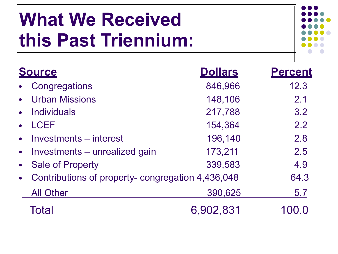# **What We Received this Past Triennium:**



| <b>Source</b>                                                  | <b>Dollars</b> | <b>Percent</b> |
|----------------------------------------------------------------|----------------|----------------|
| Congregations<br>$\bullet$                                     | 846,966        | 12.3           |
| <b>Urban Missions</b><br>$\bullet$                             | 148,106        | 2.1            |
| <b>Individuals</b><br>$\bullet$                                | 217,788        | 3.2            |
| <b>LCEF</b><br>$\bullet$                                       | 154,364        | 2.2            |
| Investments – interest<br>$\bullet$                            | 196,140        | 2.8            |
| • Investments – unrealized gain                                | 173,211        | 2.5            |
| • Sale of Property                                             | 339,583        | 4.9            |
| Contributions of property- congregation 4,436,048<br>$\bullet$ |                | 64.3           |
| <b>All Other</b>                                               | 390,625        | 5.7            |
| Total                                                          | 6,902,831      |                |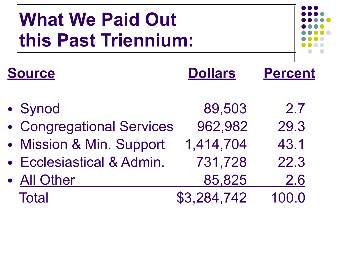# **What We Paid Out this Past Triennium:**

| <b>Source</b>             | <b>Dollars</b> | <b>Percent</b> |
|---------------------------|----------------|----------------|
| • Synod                   | 89,503         | 2.7            |
| • Congregational Services | 962,982        | 29.3           |
| • Mission & Min. Support  | 1,414,704      | 43.1           |
| • Ecclesiastical & Admin. | 731,728        | 22.3           |
| • All Other               | 85,825         | 2.6            |
| <b>Total</b>              | \$3,284,742    | 100.0          |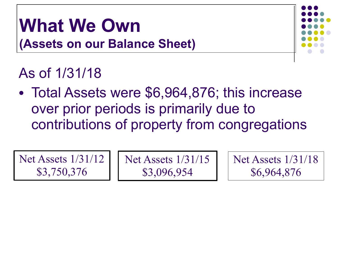## **What We Own (Assets on our Balance Sheet)**



### As of 1/31/18

• Total Assets were \$6,964,876; this increase over prior periods is primarily due to contributions of property from congregations

Net Assets 1/31/12 \$3,750,376

Net Assets 1/31/15 \$3,096,954

Net Assets 1/31/18 \$6,964,876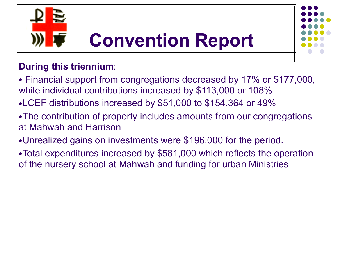



### **During this triennium**:

- Financial support from congregations decreased by 17% or \$177,000, while individual contributions increased by \$113,000 or 108%
- •LCEF distributions increased by \$51,000 to \$154,364 or 49%
- The contribution of property includes amounts from our congregations at Mahwah and Harrison
- •Unrealized gains on investments were \$196,000 for the period.
- Total expenditures increased by \$581,000 which reflects the operation of the nursery school at Mahwah and funding for urban Ministries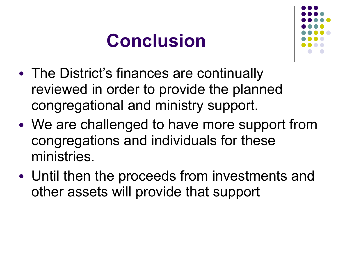# **Conclusion**



- The District's finances are continually reviewed in order to provide the planned congregational and ministry support.
- We are challenged to have more support from congregations and individuals for these ministries.
- Until then the proceeds from investments and other assets will provide that support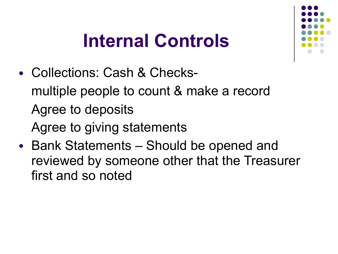# **Internal Controls**

- Collections: Cash & Checks multiple people to count & make a record Agree to deposits Agree to giving statements
- Bank Statements Should be opened and reviewed by someone other that the Treasurer first and so noted